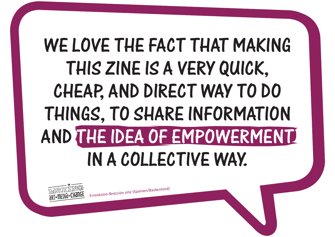*<sup>E</sup>rreakzioa-Reacció<sup>n</sup> <sup>z</sup>in<sup>e</sup>* (Spanie<sup>n</sup>/Baskenland)

# WE LOVE THE FACT THAT MAKING this zine is a very quick, cheap, and direct way to do things, to share information and the idea of empowerment in a collective way.

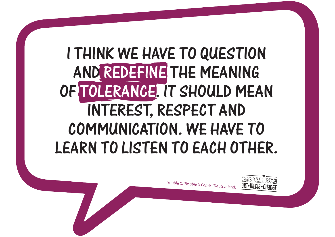

## i think we have to question and redefine the meaning of tolerance. it should mean interest, respect and communication. we have to LEARN TO LISTEN TO EACH OTHER.

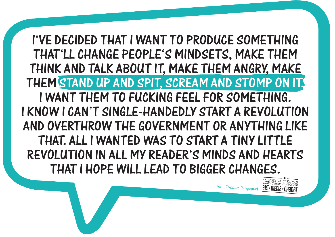I've decided that I want to produce something that'll CHANGE people's mindsets, make them think and talk about it, make them angry, make THEM STAND UP AND SPIT, SCREAM AND STOMP ON IT. I want them to fucking feel for something. I know I can't single-handedly start a revolution and overthrow the government or anything like that. All I wanted was to start a tiny little revolution in all my reader's minds and hearts that I hope will lead to bigger changes.

Trent, *Trippers* (Singapur)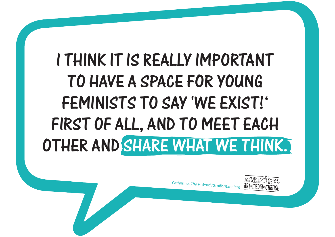Catherine, *The F-Word (*Großbritannien)



# I think it is really important to have a space for young feminists to say 'We exist!' FIRST OF ALL, AND TO MEET EACH other and share what we think.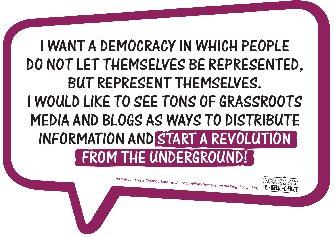Alexander Alvina Chamberland, *Ta det röda pillret/Take the red pill blog* (Schweden)

#### I want a democracy in which people do not let themselves be represented, but represent themselves. I would like to see tons of grassroots media and blogs as ways to distribute information and start a revolution FROM THE UNDERGROUND!

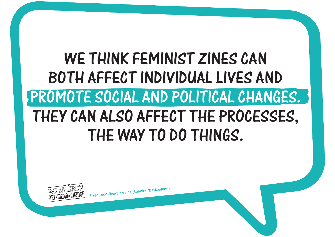## WE THINK FEMINIST ZINES CAN both affect individual lives and promote social and political changes. THEY CAN ALSO AFFECT THE PROCESSES. THE WAY TO DO THINGS.



*<sup>E</sup>rreakzioa-Reacció<sup>n</sup> <sup>z</sup>in<sup>e</sup>* (Spanie<sup>n</sup>/Baskenland)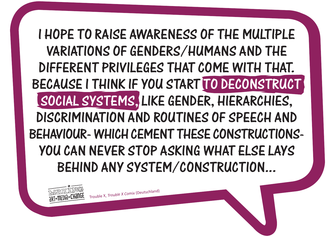

#### i hope to raise awareness of the multiple variations of genders/humans and the different privileges that come with that. because i think if you start to deconstruct social systems, like gender, hierarchies, discrimination and routines of speech and behaviour- which cement these constructionsyou can never stop asking what else lays behind any system/construction...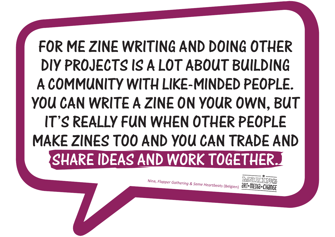Nina, *Flapper Gathering & Same Heartbeats* (Belgien)

## for me zine writing and doing other DIY projects is a lot about building a community with like-minded people. You can write a zine on your own, but it's really fun when other people make zines too and you can trade and SHARE IDEAS AND WORK TOGETHER.

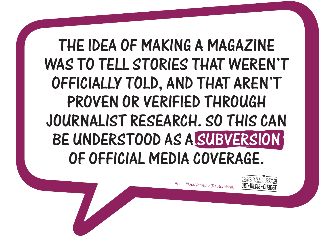Anna, *Plotki femzine* (Deutschland)



### THE IDEA OF MAKING A MAGAZINE was to tell stories that weren't officially told, and that aren't proven or verified through journalist research. So this can BE UNDERSTOOD AS A SUBVERSION of official media coverage.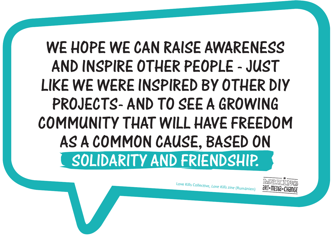### WE HOPE WE CAN RAISE AWARENESS and inspire other people - just like we were inspired by other DIY projects- and to see a growing community that will have freedom as a common cause, based on solidarity and friendship.

Love Kills Collective, *Love Kills zine* (Rumänien)

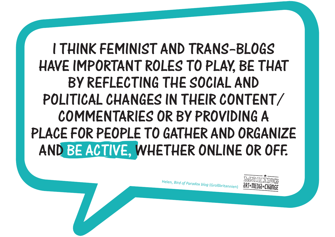Helen, *Bird of Paradox blog* (Großbritannien)



#### I think feminist and trans–blogs have important roles to play, be that by reflecting the social and political changes in their content/ commentaries or by providing a place for people to gather and organize and be active, whether online or off.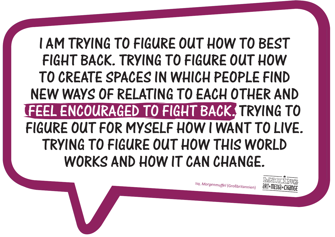Isy, *Morgenmuffel* (Großbritannien)

#### I am trying to figure out how to best fight back. Trying to figure out how to create spaces in which people find new ways of relating to each other and feel encouraged to fight back. Trying to figure out for myself how I want to live. Trying to figure out how this world works and how it can change.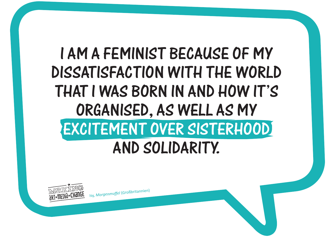<sup>I</sup>sy, *<sup>M</sup>orgenm<sup>u</sup>fe<sup>l</sup>* (Großbritannie<sup>n</sup>)

## I am a feminist because of my dissatisfaction with the world that I was born in and how it's organised, as well as my excitement over sisterhood and solidarity.

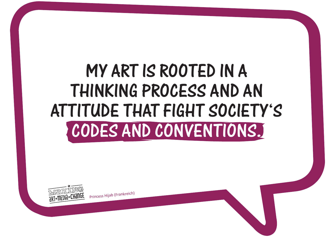<sup>P</sup>rinces<sup>s</sup> <sup>H</sup>ija<sup>b</sup> (Frankreich)



## My art is rooted in a thinking process and an attitude that fight society's codes and conventions.